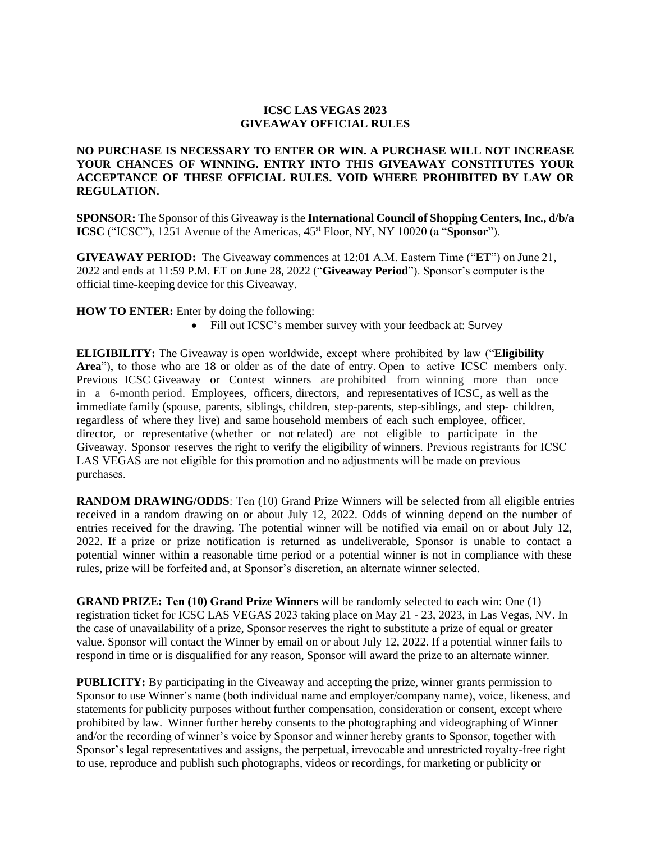## **ICSC LAS VEGAS 2023 GIVEAWAY OFFICIAL RULES**

## **NO PURCHASE IS NECESSARY TO ENTER OR WIN. A PURCHASE WILL NOT INCREASE YOUR CHANCES OF WINNING. ENTRY INTO THIS GIVEAWAY CONSTITUTES YOUR ACCEPTANCE OF THESE OFFICIAL RULES. VOID WHERE PROHIBITED BY LAW OR REGULATION.**

**SPONSOR:** The Sponsor of this Giveaway is the **International Council of Shopping Centers, Inc., d/b/a ICSC** ("ICSC"), 1251 Avenue of the Americas,  $45$ <sup>st</sup> Floor, NY, NY 10020 (a "**Sponsor**").

**GIVEAWAY PERIOD:** The Giveaway commences at 12:01 A.M. Eastern Time ("**ET**") on June 21, 2022 and ends at 11:59 P.M. ET on June 28, 2022 ("**Giveaway Period**"). Sponsor's computer is the official time-keeping device for this Giveaway.

**HOW TO ENTER:** Enter by doing the following:

• Fill out ICSC's member survey with your feedback at: [Survey](https://www.surveymonkey.com/r/7VRPKK7?utm_source=Eloqua&utm_medium=email&utm_campaign=&utm_term=&utm_content=&elqTrackId=ba3c9480a19b43529a436c01214b32f8&elq=55ad954ec8484ad2baedc1e48c3b4b2d&elqaid=6827&elqat=1&elqCampaignId=)

**ELIGIBILITY:** The Giveaway is open worldwide, except where prohibited by law ("**Eligibility Area**"), to those who are 18 or older as of the date of entry. Open to active ICSC members only. Previous ICSC Giveaway or Contest winners are prohibited from winning more than once in a 6-month period. Employees, officers, directors, and representatives of ICSC, as well as the immediate family (spouse, parents, siblings, children, step-parents, step-siblings, and step- children, regardless of where they live) and same household members of each such employee, officer, director, or representative (whether or not related) are not eligible to participate in the Giveaway. Sponsor reserves the right to verify the eligibility of winners. Previous registrants for ICSC LAS VEGAS are not eligible for this promotion and no adjustments will be made on previous purchases.

**RANDOM DRAWING/ODDS**: Ten (10) Grand Prize Winners will be selected from all eligible entries received in a random drawing on or about July 12, 2022. Odds of winning depend on the number of entries received for the drawing. The potential winner will be notified via email on or about July 12, 2022. If a prize or prize notification is returned as undeliverable, Sponsor is unable to contact a potential winner within a reasonable time period or a potential winner is not in compliance with these rules, prize will be forfeited and, at Sponsor's discretion, an alternate winner selected.

**GRAND PRIZE: Ten (10) Grand Prize Winners** will be randomly selected to each win: One (1) registration ticket for ICSC LAS VEGAS 2023 taking place on May 21 - 23, 2023, in Las Vegas, NV. In the case of unavailability of a prize, Sponsor reserves the right to substitute a prize of equal or greater value. Sponsor will contact the Winner by email on or about July 12, 2022. If a potential winner fails to respond in time or is disqualified for any reason, Sponsor will award the prize to an alternate winner.

**PUBLICITY:** By participating in the Giveaway and accepting the prize, winner grants permission to Sponsor to use Winner's name (both individual name and employer/company name), voice, likeness, and statements for publicity purposes without further compensation, consideration or consent, except where prohibited by law. Winner further hereby consents to the photographing and videographing of Winner and/or the recording of winner's voice by Sponsor and winner hereby grants to Sponsor, together with Sponsor's legal representatives and assigns, the perpetual, irrevocable and unrestricted royalty-free right to use, reproduce and publish such photographs, videos or recordings, for marketing or publicity or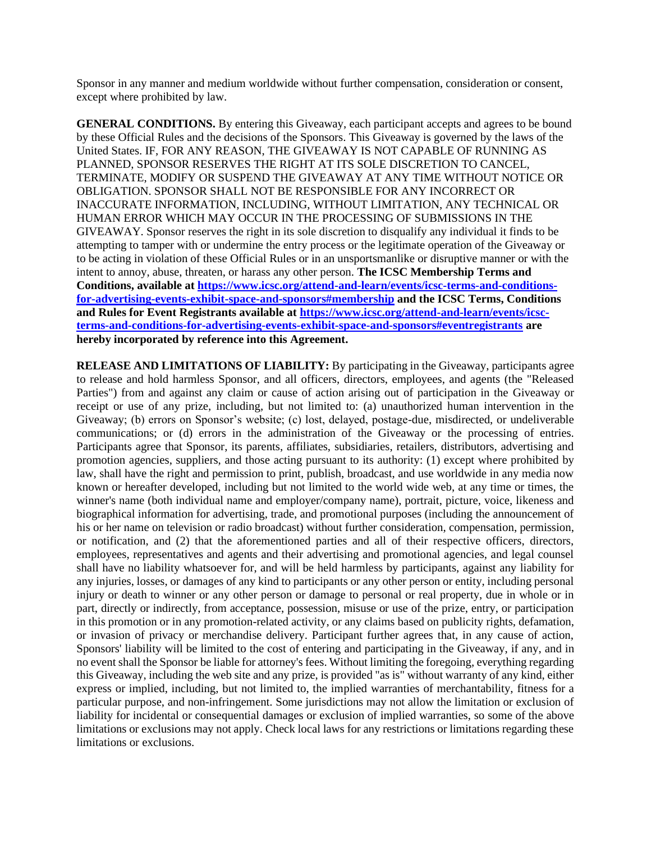Sponsor in any manner and medium worldwide without further compensation, consideration or consent, except where prohibited by law.

**GENERAL CONDITIONS.** By entering this Giveaway, each participant accepts and agrees to be bound by these Official Rules and the decisions of the Sponsors. This Giveaway is governed by the laws of the United States. IF, FOR ANY REASON, THE GIVEAWAY IS NOT CAPABLE OF RUNNING AS PLANNED, SPONSOR RESERVES THE RIGHT AT ITS SOLE DISCRETION TO CANCEL, TERMINATE, MODIFY OR SUSPEND THE GIVEAWAY AT ANY TIME WITHOUT NOTICE OR OBLIGATION. SPONSOR SHALL NOT BE RESPONSIBLE FOR ANY INCORRECT OR INACCURATE INFORMATION, INCLUDING, WITHOUT LIMITATION, ANY TECHNICAL OR HUMAN ERROR WHICH MAY OCCUR IN THE PROCESSING OF SUBMISSIONS IN THE GIVEAWAY. Sponsor reserves the right in its sole discretion to disqualify any individual it finds to be attempting to tamper with or undermine the entry process or the legitimate operation of the Giveaway or to be acting in violation of these Official Rules or in an unsportsmanlike or disruptive manner or with the intent to annoy, abuse, threaten, or harass any other person. **The ICSC Membership Terms and Conditions, available a[t https://www.icsc.org/attend-and-learn/events/icsc-terms-and-conditions](https://www.icsc.org/attend-and-learn/events/icsc-terms-and-conditions-for-advertising-events-exhibit-space-and-sponsors#membership)[for-advertising-events-exhibit-space-and-sponsors#membership](https://www.icsc.org/attend-and-learn/events/icsc-terms-and-conditions-for-advertising-events-exhibit-space-and-sponsors#membership) and the ICSC Terms, Conditions and Rules for Event Registrants available at [https://www.icsc.org/attend-and-learn/events/icsc](https://www.icsc.org/attend-and-learn/events/icsc-terms-and-conditions-for-advertising-events-exhibit-space-and-sponsors#eventregistrants)[terms-and-conditions-for-advertising-events-exhibit-space-and-sponsors#eventregistrants](https://www.icsc.org/attend-and-learn/events/icsc-terms-and-conditions-for-advertising-events-exhibit-space-and-sponsors#eventregistrants) are hereby incorporated by reference into this Agreement.**

**RELEASE AND LIMITATIONS OF LIABILITY:** By participating in the Giveaway, participants agree to release and hold harmless Sponsor, and all officers, directors, employees, and agents (the "Released Parties") from and against any claim or cause of action arising out of participation in the Giveaway or receipt or use of any prize, including, but not limited to: (a) unauthorized human intervention in the Giveaway; (b) errors on Sponsor's website; (c) lost, delayed, postage-due, misdirected, or undeliverable communications; or (d) errors in the administration of the Giveaway or the processing of entries. Participants agree that Sponsor, its parents, affiliates, subsidiaries, retailers, distributors, advertising and promotion agencies, suppliers, and those acting pursuant to its authority: (1) except where prohibited by law, shall have the right and permission to print, publish, broadcast, and use worldwide in any media now known or hereafter developed, including but not limited to the world wide web, at any time or times, the winner's name (both individual name and employer/company name), portrait, picture, voice, likeness and biographical information for advertising, trade, and promotional purposes (including the announcement of his or her name on television or radio broadcast) without further consideration, compensation, permission, or notification, and (2) that the aforementioned parties and all of their respective officers, directors, employees, representatives and agents and their advertising and promotional agencies, and legal counsel shall have no liability whatsoever for, and will be held harmless by participants, against any liability for any injuries, losses, or damages of any kind to participants or any other person or entity, including personal injury or death to winner or any other person or damage to personal or real property, due in whole or in part, directly or indirectly, from acceptance, possession, misuse or use of the prize, entry, or participation in this promotion or in any promotion-related activity, or any claims based on publicity rights, defamation, or invasion of privacy or merchandise delivery. Participant further agrees that, in any cause of action, Sponsors' liability will be limited to the cost of entering and participating in the Giveaway, if any, and in no event shall the Sponsor be liable for attorney's fees. Without limiting the foregoing, everything regarding this Giveaway, including the web site and any prize, is provided "as is" without warranty of any kind, either express or implied, including, but not limited to, the implied warranties of merchantability, fitness for a particular purpose, and non-infringement. Some jurisdictions may not allow the limitation or exclusion of liability for incidental or consequential damages or exclusion of implied warranties, so some of the above limitations or exclusions may not apply. Check local laws for any restrictions or limitations regarding these limitations or exclusions.